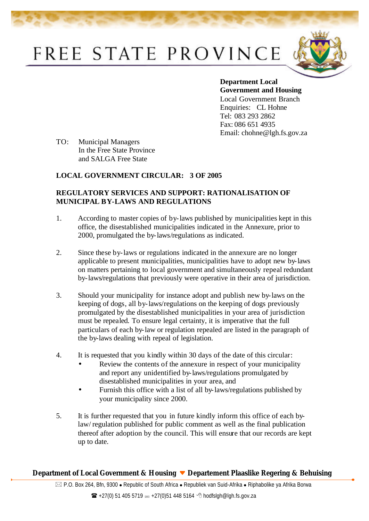## FREE STATE PROVINCE



**Department Local Government and Housing**  Local Government Branch Enquiries: CL Hohne Tel: 083 293 2862 Fax: 086 651 4935 Email: chohne@lgh.fs.gov.za

TO: Municipal Managers In the Free State Province and SALGA Free State

## **LOCAL GOVERNMENT CIRCULAR: 3 OF 2005**

## **REGULATORY SERVICES AND SUPPORT: RATIONALISATION OF MUNICIPAL BY-LAWS AND REGULATIONS**

- 1. According to master copies of by-laws published by municipalities kept in this office, the disestablished municipalities indicated in the Annexure, prior to 2000, promulgated the by-laws/regulations as indicated.
- 2. Since these by-laws or regulations indicated in the annexure are no longer applicable to present municipalities, municipalities have to adopt new by-laws on matters pertaining to local government and simultaneously repeal redundant by-laws/regulations that previously were operative in their area of jurisdiction.
- 3. Should your municipality for instance adopt and publish new by-laws on the keeping of dogs, all by-laws/regulations on the keeping of dogs previously promulgated by the disestablished municipalities in your area of jurisdiction must be repealed. To ensure legal certainty, it is imperative that the full particulars of each by-law or regulation repealed are listed in the paragraph of the by-laws dealing with repeal of legislation.
- 4. It is requested that you kindly within 30 days of the date of this circular:
	- Review the contents of the annexure in respect of your municipality and report any unidentified by-laws/regulations promulgated by disestablished municipalities in your area, and
	- Furnish this office with a list of all by-laws/regulations published by your municipality since 2000.
- 5. It is further requested that you in future kindly inform this office of each bylaw/ regulation published for public comment as well as the final publication thereof after adoption by the council. This will ensure that our records are kept up to date.

## **Department of Local Government & Housing Departement Plaaslike Regering & Behuising**

 $\boxtimes$  P.O. Box 264, Bfn, 9300 • Republic of South Africa • Republiek van Suid-Afrika • Riphabolike ya Afrika Borwa